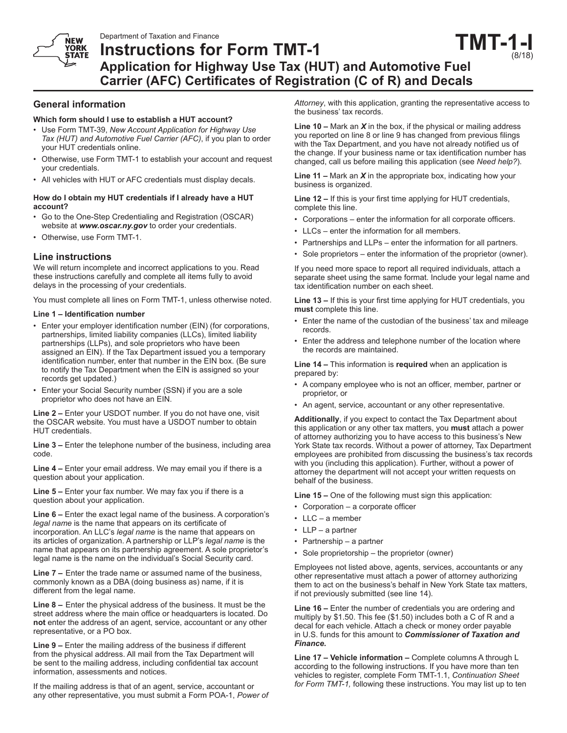**NEW** YORK **STATE** 

# **Instructions for Form TMT-1 Application for Highway Use Tax (HUT) and Automotive Fuel Carrier (AFC) Certificates of Registration (C of R) and Decals TMT-1-I**

# **General information**

## **Which form should I use to establish a HUT account?**

- Use Form TMT-39, *New Account Application for Highway Use Tax (HUT) and Automotive Fuel Carrier (AFC)*, if you plan to order your HUT credentials online.
- Otherwise, use Form TMT-1 to establish your account and request your credentials.
- All vehicles with HUT or AFC credentials must display decals.

#### **How do I obtain my HUT credentials if I already have a HUT account?**

- Go to the One-Step Credentialing and Registration (OSCAR) website at *www.oscar.ny.gov* to order your credentials.
- Otherwise, use Form TMT-1.

# **Line instructions**

We will return incomplete and incorrect applications to you. Read these instructions carefully and complete all items fully to avoid delays in the processing of your credentials.

You must complete all lines on Form TMT-1, unless otherwise noted.

#### **Line 1 – Identification number**

- Enter your employer identification number (EIN) (for corporations, partnerships, limited liability companies (LLCs), limited liability partnerships (LLPs), and sole proprietors who have been assigned an EIN). If the Tax Department issued you a temporary identification number, enter that number in the EIN box. (Be sure to notify the Tax Department when the EIN is assigned so your records get updated.)
- Enter your Social Security number (SSN) if you are a sole proprietor who does not have an EIN.

**Line 2 –** Enter your USDOT number. If you do not have one, visit the OSCAR website*.* You must have a USDOT number to obtain HUT credentials.

**Line 3 –** Enter the telephone number of the business, including area code.

**Line 4 –** Enter your email address. We may email you if there is a question about your application.

**Line 5 –** Enter your fax number. We may fax you if there is a question about your application.

**Line 6 –** Enter the exact legal name of the business. A corporation's *legal name* is the name that appears on its certificate of incorporation. An LLC's *legal name* is the name that appears on its articles of organization. A partnership or LLP's *legal name* is the name that appears on its partnership agreement. A sole proprietor's legal name is the name on the individual's Social Security card.

**Line 7 –** Enter the trade name or assumed name of the business, commonly known as a DBA (doing business as) name, if it is different from the legal name.

**Line 8 –** Enter the physical address of the business. It must be the street address where the main office or headquarters is located. Do **not** enter the address of an agent, service, accountant or any other representative, or a PO box.

**Line 9 –** Enter the mailing address of the business if different from the physical address. All mail from the Tax Department will be sent to the mailing address, including confidential tax account information, assessments and notices.

If the mailing address is that of an agent, service, accountant or any other representative, you must submit a Form POA-1, *Power of* 

*Attorney*, with this application, granting the representative access to the business' tax records.

(8/18)

**Line 10 –** Mark an *X* in the box, if the physical or mailing address you reported on line 8 or line 9 has changed from previous filings with the Tax Department, and you have not already notified us of the change. If your business name or tax identification number has changed, call us before mailing this application (see *Need help?*).

**Line 11 –** Mark an *X* in the appropriate box, indicating how your business is organized.

**Line 12 –** If this is your first time applying for HUT credentials, complete this line.

- • Corporations enter the information for all corporate officers.
- LLCs enter the information for all members.
- Partnerships and LLPs enter the information for all partners.
- Sole proprietors enter the information of the proprietor (owner).

If you need more space to report all required individuals, attach a separate sheet using the same format. Include your legal name and tax identification number on each sheet.

**Line 13 –** If this is your first time applying for HUT credentials, you **must** complete this line.

- Enter the name of the custodian of the business' tax and mileage records.
- Enter the address and telephone number of the location where the records are maintained.

**Line 14 –** This information is **required** when an application is prepared by:

- • A company employee who is not an officer, member, partner or proprietor, or
- An agent, service, accountant or any other representative.

**Additionally**, if you expect to contact the Tax Department about this application or any other tax matters, you **must** attach a power of attorney authorizing you to have access to this business's New York State tax records. Without a power of attorney, Tax Department employees are prohibited from discussing the business's tax records with you (including this application). Further, without a power of attorney the department will not accept your written requests on behalf of the business.

**Line 15 –** One of the following must sign this application:

- • Corporation a corporate officer
- LLC a member
- LLP a partner
- Partnership a partner
- Sole proprietorship the proprietor (owner)

Employees not listed above, agents, services, accountants or any other representative must attach a power of attorney authorizing them to act on the business's behalf in New York State tax matters, if not previously submitted (see line 14).

**Line 16 –** Enter the number of credentials you are ordering and multiply by \$1.50. This fee (\$1.50) includes both a C of R and a decal for each vehicle. Attach a check or money order payable in U.S. funds for this amount to *Commissioner of Taxation and Finance.*

**Line 17 – Vehicle information –** Complete columns A through L according to the following instructions. If you have more than ten vehicles to register, complete Form TMT-1.1, *Continuation Sheet for Form TMT-1,* following these instructions. You may list up to ten